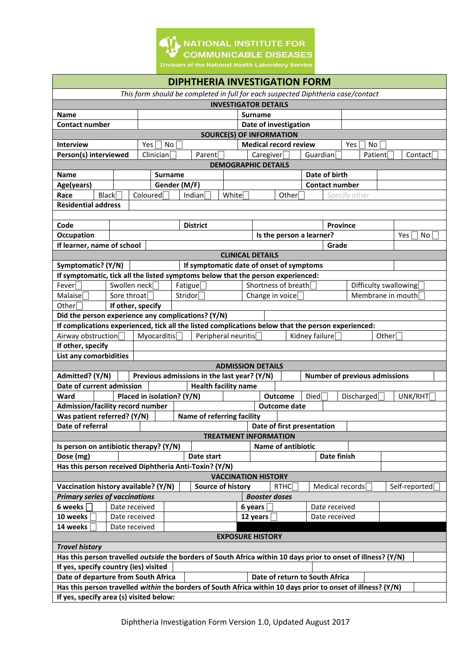

| <b>DIPHTHERIA INVESTIGATION FORM</b>                                                                                                                    |                 |                    |                            |                                             |  |                          |                                |                                            |                                |  |            |                                      |               |  |
|---------------------------------------------------------------------------------------------------------------------------------------------------------|-----------------|--------------------|----------------------------|---------------------------------------------|--|--------------------------|--------------------------------|--------------------------------------------|--------------------------------|--|------------|--------------------------------------|---------------|--|
| This form should be completed in full for each suspected Diphtheria case/contact                                                                        |                 |                    |                            |                                             |  |                          |                                |                                            |                                |  |            |                                      |               |  |
| <b>INVESTIGATOR DETAILS</b>                                                                                                                             |                 |                    |                            |                                             |  |                          |                                |                                            |                                |  |            |                                      |               |  |
| <b>Name</b><br><b>Surname</b>                                                                                                                           |                 |                    |                            |                                             |  |                          |                                |                                            |                                |  |            |                                      |               |  |
| <b>Contact number</b>                                                                                                                                   |                 |                    |                            |                                             |  | Date of investigation    |                                |                                            |                                |  |            |                                      |               |  |
| <b>SOURCE(S) OF INFORMATION</b>                                                                                                                         |                 |                    |                            |                                             |  |                          |                                |                                            |                                |  |            |                                      |               |  |
| <b>Medical record review</b><br><b>Interview</b><br>Yes<br>No<br>Yes<br>No                                                                              |                 |                    |                            |                                             |  |                          |                                |                                            |                                |  |            |                                      |               |  |
| Person(s) interviewed<br>Clinician                                                                                                                      |                 |                    |                            | Parent                                      |  |                          | Guardian<br>Care given         |                                            |                                |  | Patient    |                                      | Contact       |  |
| <b>DEMOGRAPHIC DETAILS</b>                                                                                                                              |                 |                    |                            |                                             |  |                          |                                |                                            |                                |  |            |                                      |               |  |
| Date of birth<br><b>Name</b><br><b>Surname</b>                                                                                                          |                 |                    |                            |                                             |  |                          |                                |                                            |                                |  |            |                                      |               |  |
| Age(years)                                                                                                                                              |                 | Gender (M/F)       |                            |                                             |  |                          |                                |                                            | <b>Contact number</b>          |  |            |                                      |               |  |
| Black<br>Coloured<br>Race<br>Indian<br>White<br>Other[<br>Specify other                                                                                 |                 |                    |                            |                                             |  |                          |                                |                                            |                                |  |            |                                      |               |  |
| <b>Residential address</b>                                                                                                                              |                 |                    |                            |                                             |  |                          |                                |                                            |                                |  |            |                                      |               |  |
|                                                                                                                                                         |                 |                    |                            |                                             |  |                          |                                |                                            |                                |  |            |                                      |               |  |
| Code                                                                                                                                                    |                 | <b>District</b>    |                            |                                             |  | <b>Province</b>          |                                |                                            |                                |  |            |                                      |               |  |
| Occupation                                                                                                                                              |                 |                    |                            |                                             |  |                          | Is the person a learner?       |                                            |                                |  |            |                                      | Yes<br>No     |  |
| If learner, name of school                                                                                                                              |                 |                    |                            |                                             |  |                          |                                |                                            | Grade                          |  |            |                                      |               |  |
|                                                                                                                                                         |                 |                    |                            |                                             |  |                          |                                |                                            |                                |  |            |                                      |               |  |
| <b>CLINICAL DETAILS</b><br>If symptomatic date of onset of symptoms<br>Symptomatic? (Y/N)                                                               |                 |                    |                            |                                             |  |                          |                                |                                            |                                |  |            |                                      |               |  |
| If symptomatic, tick all the listed symptoms below that the person experienced:                                                                         |                 |                    |                            |                                             |  |                          |                                |                                            |                                |  |            |                                      |               |  |
| Fever                                                                                                                                                   | Swollen neck    |                    |                            |                                             |  | Shortness of breath      |                                |                                            |                                |  |            |                                      |               |  |
| Malaise                                                                                                                                                 | Sore throat     | Fatigue<br>Stridor |                            |                                             |  |                          |                                | Difficulty swallowing<br>Membrane in mouth |                                |  |            |                                      |               |  |
| Other                                                                                                                                                   | Change in voice |                    |                            |                                             |  |                          |                                |                                            |                                |  |            |                                      |               |  |
| If other, specify                                                                                                                                       |                 |                    |                            |                                             |  |                          |                                |                                            |                                |  |            |                                      |               |  |
| Did the person experience any complications? (Y/N)                                                                                                      |                 |                    |                            |                                             |  |                          |                                |                                            |                                |  |            |                                      |               |  |
| If complications experienced, tick all the listed complications below that the person experienced:                                                      |                 |                    |                            |                                             |  |                          |                                |                                            |                                |  |            |                                      |               |  |
| Myocarditis<br>Kidney failure<br>Airway obstruction<br>Peripheral neuritis<br>Other<br>If other, specify                                                |                 |                    |                            |                                             |  |                          |                                |                                            |                                |  |            |                                      |               |  |
| <b>List any comorbidities</b>                                                                                                                           |                 |                    |                            |                                             |  |                          |                                |                                            |                                |  |            |                                      |               |  |
|                                                                                                                                                         |                 |                    |                            |                                             |  | <b>ADMISSION DETAILS</b> |                                |                                            |                                |  |            |                                      |               |  |
| Admitted? (Y/N)                                                                                                                                         |                 |                    |                            | Previous admissions in the last year? (Y/N) |  |                          |                                |                                            |                                |  |            | <b>Number of previous admissions</b> |               |  |
| Date of current admission                                                                                                                               |                 |                    |                            | <b>Health facility name</b>                 |  |                          |                                |                                            |                                |  |            |                                      |               |  |
| Ward                                                                                                                                                    |                 |                    | Placed in isolation? (Y/N) |                                             |  |                          | <b>Outcome</b>                 | Died                                       |                                |  | Discharged |                                      | UNK/RHT       |  |
| Admission/facility record number                                                                                                                        |                 |                    |                            |                                             |  |                          | <b>Outcome date</b>            |                                            |                                |  |            |                                      |               |  |
| Was patient referred? (Y/N)                                                                                                                             |                 |                    |                            | Name of referring facility                  |  |                          |                                |                                            |                                |  |            |                                      |               |  |
| Date of referral                                                                                                                                        |                 |                    |                            |                                             |  |                          | Date of first presentation     |                                            |                                |  |            |                                      |               |  |
|                                                                                                                                                         |                 |                    |                            |                                             |  |                          | <b>TREATMENT INFORMATION</b>   |                                            |                                |  |            |                                      |               |  |
| Is person on antibiotic therapy? (Y/N)                                                                                                                  |                 |                    |                            |                                             |  |                          | <b>Name of antibiotic</b>      |                                            |                                |  |            |                                      |               |  |
| Dose (mg)                                                                                                                                               |                 |                    |                            | Date start                                  |  |                          |                                |                                            | Date finish                    |  |            |                                      |               |  |
|                                                                                                                                                         |                 |                    |                            |                                             |  |                          |                                |                                            |                                |  |            |                                      |               |  |
| Has this person received Diphtheria Anti-Toxin? (Y/N)                                                                                                   |                 |                    |                            |                                             |  |                          |                                |                                            |                                |  |            |                                      |               |  |
| <b>VACCINATION HISTORY</b><br>Vaccination history available? (Y/N)<br><b>Source of history</b><br>Medical records                                       |                 |                    |                            |                                             |  |                          |                                |                                            |                                |  |            |                                      |               |  |
|                                                                                                                                                         |                 |                    |                            |                                             |  |                          | RTHC                           |                                            |                                |  |            |                                      | Self-reported |  |
| <b>Primary series of vaccinations</b>                                                                                                                   |                 |                    |                            |                                             |  |                          | <b>Booster doses</b>           |                                            |                                |  |            |                                      |               |  |
| 6 weeks                                                                                                                                                 | Date received   |                    |                            |                                             |  |                          | 6 years                        |                                            | Date received<br>Date received |  |            |                                      |               |  |
| 10 weeks                                                                                                                                                | Date received   |                    |                            |                                             |  | 12 years                 |                                |                                            |                                |  |            |                                      |               |  |
| 14 weeks                                                                                                                                                | Date received   |                    |                            |                                             |  |                          |                                |                                            |                                |  |            |                                      |               |  |
| <b>EXPOSURE HISTORY</b>                                                                                                                                 |                 |                    |                            |                                             |  |                          |                                |                                            |                                |  |            |                                      |               |  |
| <b>Travel history</b>                                                                                                                                   |                 |                    |                            |                                             |  |                          |                                |                                            |                                |  |            |                                      |               |  |
| Has this person travelled outside the borders of South Africa within 10 days prior to onset of illness? (Y/N)<br>If yes, specify country (ies) visited  |                 |                    |                            |                                             |  |                          |                                |                                            |                                |  |            |                                      |               |  |
|                                                                                                                                                         |                 |                    |                            |                                             |  |                          |                                |                                            |                                |  |            |                                      |               |  |
| Date of departure from South Africa                                                                                                                     |                 |                    |                            |                                             |  |                          | Date of return to South Africa |                                            |                                |  |            |                                      |               |  |
| Has this person travelled within the borders of South Africa within 10 days prior to onset of illness? (Y/N)<br>If yes, specify area (s) visited below: |                 |                    |                            |                                             |  |                          |                                |                                            |                                |  |            |                                      |               |  |
|                                                                                                                                                         |                 |                    |                            |                                             |  |                          |                                |                                            |                                |  |            |                                      |               |  |